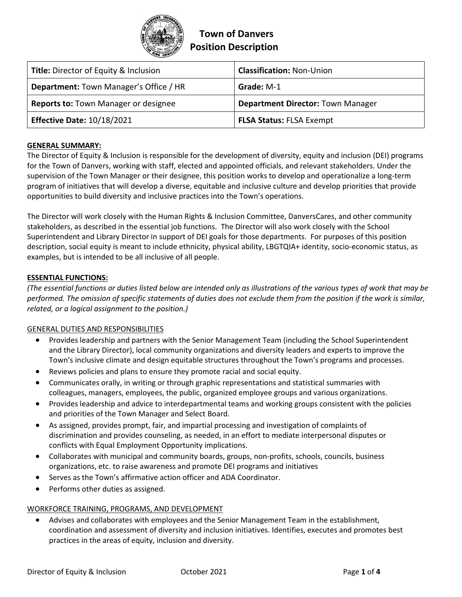

# **Town of Danvers Position Description**

| <b>Title:</b> Director of Equity & Inclusion  | <b>Classification: Non-Union</b>         |
|-----------------------------------------------|------------------------------------------|
| <b>Department:</b> Town Manager's Office / HR | Grade: M-1                               |
| <b>Reports to: Town Manager or designee</b>   | <b>Department Director: Town Manager</b> |
| <b>Effective Date: 10/18/2021</b>             | <b>FLSA Status: FLSA Exempt</b>          |

## **GENERAL SUMMARY:**

The Director of Equity & Inclusion is responsible for the development of diversity, equity and inclusion (DEI) programs for the Town of Danvers, working with staff, elected and appointed officials, and relevant stakeholders. Under the supervision of the Town Manager or their designee, this position works to develop and operationalize a long-term program of initiatives that will develop a diverse, equitable and inclusive culture and develop priorities that provide opportunities to build diversity and inclusive practices into the Town's operations.

The Director will work closely with the Human Rights & Inclusion Committee, DanversCares, and other community stakeholders, as described in the essential job functions. The Director will also work closely with the School Superintendent and Library Director in support of DEI goals for those departments. For purposes of this position description, social equity is meant to include ethnicity, physical ability, LBGTQIA+ identity, socio-economic status, as examples, but is intended to be all inclusive of all people.

## **ESSENTIAL FUNCTIONS:**

*(The essential functions or duties listed below are intended only as illustrations of the various types of work that may be performed. The omission of specific statements of duties does not exclude them from the position if the work is similar, related, or a logical assignment to the position.)*

### GENERAL DUTIES AND RESPONSIBILITIES

- Provides leadership and partners with the Senior Management Team (including the School Superintendent and the Library Director), local community organizations and diversity leaders and experts to improve the Town's inclusive climate and design equitable structures throughout the Town's programs and processes.
- Reviews policies and plans to ensure they promote racial and social equity.
- Communicates orally, in writing or through graphic representations and statistical summaries with colleagues, managers, employees, the public, organized employee groups and various organizations.
- Provides leadership and advice to interdepartmental teams and working groups consistent with the policies and priorities of the Town Manager and Select Board.
- As assigned, provides prompt, fair, and impartial processing and investigation of complaints of discrimination and provides counseling, as needed, in an effort to mediate interpersonal disputes or conflicts with Equal Employment Opportunity implications.
- Collaborates with municipal and community boards, groups, non-profits, schools, councils, business organizations, etc. to raise awareness and promote DEI programs and initiatives
- Serves as the Town's affirmative action officer and ADA Coordinator.
- Performs other duties as assigned.

### WORKFORCE TRAINING, PROGRAMS, AND DEVELOPMENT

• Advises and collaborates with employees and the Senior Management Team in the establishment, coordination and assessment of diversity and inclusion initiatives. Identifies, executes and promotes best practices in the areas of equity, inclusion and diversity.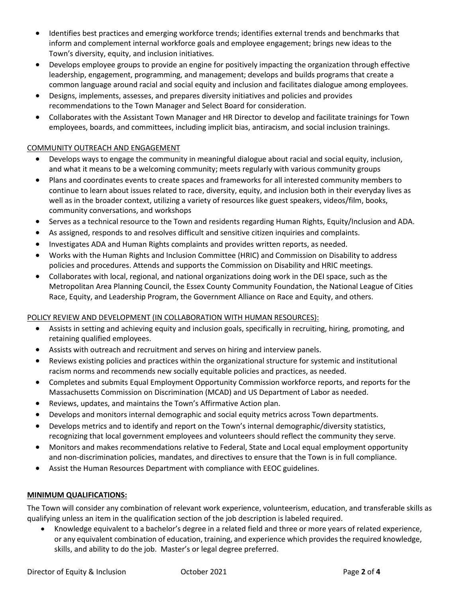- Identifies best practices and emerging workforce trends; identifies external trends and benchmarks that inform and complement internal workforce goals and employee engagement; brings new ideas to the Town's diversity, equity, and inclusion initiatives.
- Develops employee groups to provide an engine for positively impacting the organization through effective leadership, engagement, programming, and management; develops and builds programs that create a common language around racial and social equity and inclusion and facilitates dialogue among employees.
- Designs, implements, assesses, and prepares diversity initiatives and policies and provides recommendations to the Town Manager and Select Board for consideration.
- Collaborates with the Assistant Town Manager and HR Director to develop and facilitate trainings for Town employees, boards, and committees, including implicit bias, antiracism, and social inclusion trainings.

## COMMUNITY OUTREACH AND ENGAGEMENT

- Develops ways to engage the community in meaningful dialogue about racial and social equity, inclusion, and what it means to be a welcoming community; meets regularly with various community groups
- Plans and coordinates events to create spaces and frameworks for all interested community members to continue to learn about issues related to race, diversity, equity, and inclusion both in their everyday lives as well as in the broader context, utilizing a variety of resources like guest speakers, videos/film, books, community conversations, and workshops
- Serves as a technical resource to the Town and residents regarding Human Rights, Equity/Inclusion and ADA.
- As assigned, responds to and resolves difficult and sensitive citizen inquiries and complaints.
- Investigates ADA and Human Rights complaints and provides written reports, as needed.
- Works with the Human Rights and Inclusion Committee (HRIC) and Commission on Disability to address policies and procedures. Attends and supports the Commission on Disability and HRIC meetings.
- Collaborates with local, regional, and national organizations doing work in the DEI space, such as the Metropolitan Area Planning Council, the Essex County Community Foundation, the National League of Cities Race, Equity, and Leadership Program, the Government Alliance on Race and Equity, and others.

## POLICY REVIEW AND DEVELOPMENT (IN COLLABORATION WITH HUMAN RESOURCES):

- Assists in setting and achieving equity and inclusion goals, specifically in recruiting, hiring, promoting, and retaining qualified employees.
- Assists with outreach and recruitment and serves on hiring and interview panels.
- Reviews existing policies and practices within the organizational structure for systemic and institutional racism norms and recommends new socially equitable policies and practices, as needed.
- Completes and submits Equal Employment Opportunity Commission workforce reports, and reports for the Massachusetts Commission on Discrimination (MCAD) and US Department of Labor as needed.
- Reviews, updates, and maintains the Town's Affirmative Action plan.
- Develops and monitors internal demographic and social equity metrics across Town departments.
- Develops metrics and to identify and report on the Town's internal demographic/diversity statistics, recognizing that local government employees and volunteers should reflect the community they serve.
- Monitors and makes recommendations relative to Federal, State and Local equal employment opportunity and non-discrimination policies, mandates, and directives to ensure that the Town is in full compliance.
- Assist the Human Resources Department with compliance with EEOC guidelines.

# **MINIMUM QUALIFICATIONS:**

The Town will consider any combination of relevant work experience, volunteerism, education, and transferable skills as qualifying unless an item in the qualification section of the job description is labeled required.

• Knowledge equivalent to a bachelor's degree in a related field and three or more years of related experience, or any equivalent combination of education, training, and experience which provides the required knowledge, skills, and ability to do the job. Master's or legal degree preferred.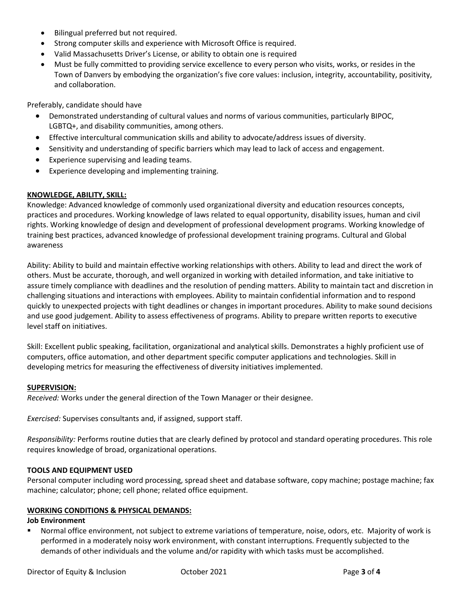- Bilingual preferred but not required.
- Strong computer skills and experience with Microsoft Office is required.
- Valid Massachusetts Driver's License, or ability to obtain one is required
- Must be fully committed to providing service excellence to every person who visits, works, or resides in the Town of Danvers by embodying the organization's five core values: inclusion, integrity, accountability, positivity, and collaboration.

Preferably, candidate should have

- Demonstrated understanding of cultural values and norms of various communities, particularly BIPOC, LGBTQ+, and disability communities, among others.
- Effective intercultural communication skills and ability to advocate/address issues of diversity.
- Sensitivity and understanding of specific barriers which may lead to lack of access and engagement.
- Experience supervising and leading teams.
- Experience developing and implementing training.

## **KNOWLEDGE, ABILITY, SKILL:**

Knowledge: Advanced knowledge of commonly used organizational diversity and education resources concepts, practices and procedures. Working knowledge of laws related to equal opportunity, disability issues, human and civil rights. Working knowledge of design and development of professional development programs. Working knowledge of training best practices, advanced knowledge of professional development training programs. Cultural and Global awareness

Ability: Ability to build and maintain effective working relationships with others. Ability to lead and direct the work of others. Must be accurate, thorough, and well organized in working with detailed information, and take initiative to assure timely compliance with deadlines and the resolution of pending matters. Ability to maintain tact and discretion in challenging situations and interactions with employees. Ability to maintain confidential information and to respond quickly to unexpected projects with tight deadlines or changes in important procedures. Ability to make sound decisions and use good judgement. Ability to assess effectiveness of programs. Ability to prepare written reports to executive level staff on initiatives.

Skill: Excellent public speaking, facilitation, organizational and analytical skills. Demonstrates a highly proficient use of computers, office automation, and other department specific computer applications and technologies. Skill in developing metrics for measuring the effectiveness of diversity initiatives implemented.

### **SUPERVISION:**

*Received:* Works under the general direction of the Town Manager or their designee.

*Exercised:* Supervises consultants and, if assigned, support staff.

*Responsibility:* Performs routine duties that are clearly defined by protocol and standard operating procedures. This role requires knowledge of broad, organizational operations.

### **TOOLS AND EQUIPMENT USED**

Personal computer including word processing, spread sheet and database software, copy machine; postage machine; fax machine; calculator; phone; cell phone; related office equipment.

### **WORKING CONDITIONS & PHYSICAL DEMANDS:**

### **Job Environment**

Normal office environment, not subject to extreme variations of temperature, noise, odors, etc. Majority of work is performed in a moderately noisy work environment, with constant interruptions. Frequently subjected to the demands of other individuals and the volume and/or rapidity with which tasks must be accomplished.